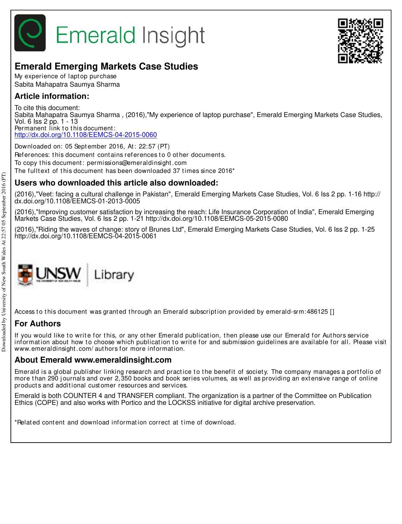

## **Emerald Emerging Markets Case Studies**

My experience of lapt op purchase Sabita Mahapatra Saumya Sharma

### **Article information:**

To cite this document: Sabita Mahapatra Saumya Sharma , (2016),"My experience of laptop purchase", Emerald Emerging Markets Case Studies, Vol. 6 Iss 2 pp. 1 - 13 Permanent link to this document: http://dx.doi.org/10.1108/EEMCS-04-2015-0060

Downloaded on: 05 Sept ember 2016, At : 22:57 (PT) References: this document contains references to 0 other documents. To copy t his document : permissions@emeraldinsight .com The fulltext of this document has been downloaded 37 times since 2016<sup>\*</sup>

## **Users who downloaded this article also downloaded:**

(2016),"Veet: facing a cultural challenge in Pakistan", Emerald Emerging Markets Case Studies, Vol. 6 Iss 2 pp. 1-16 http:// dx.doi.org/10.1108/EEMCS-01-2013-0005

(2016),"Improving customer satisfaction by increasing the reach: Life Insurance Corporation of India", Emerald Emerging Markets Case Studies, Vol. 6 Iss 2 pp. 1-21 http://dx.doi.org/10.1108/EEMCS-05-2015-0080

(2016),"Riding the waves of change: story of Brunes Ltd", Emerald Emerging Markets Case Studies, Vol. 6 Iss 2 pp. 1-25 http://dx.doi.org/10.1108/EEMCS-04-2015-0061



Access to this document was granted through an Emerald subscription provided by emerald-srm:486125 []

## **For Authors**

If you would like to write for this, or any other Emerald publication, then please use our Emerald for Authors service information about how to choose which publication to write for and submission guidelines are available for all. Please visit www.emeraldinsight.com/ authors for more information.

#### **About Emerald www.emeraldinsight.com**

Emerald is a global publisher linking research and practice to the benefit of society. The company manages a portfolio of more than 290 journals and over 2,350 books and book series volumes, as well as providing an extensive range of online product s and addit ional cust omer resources and services.

Emerald is both COUNTER 4 and TRANSFER compliant. The organization is a partner of the Committee on Publication Ethics (COPE) and also works with Portico and the LOCKSS initiative for digital archive preservation.

\*Relat ed cont ent and download informat ion correct at t ime of download.

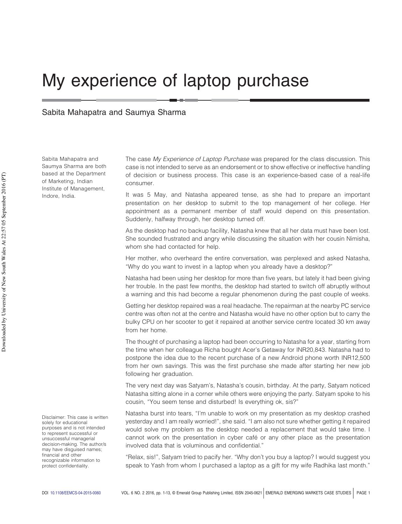# My experience of laptop purchase

Sabita Mahapatra and Saumya Sharma

Sabita Mahapatra and Saumya Sharma are both based at the Department of Marketing, Indian Institute of Management, Indore, India.

The case My Experience of Laptop Purchase was prepared for the class discussion. This case is not intended to serve as an endorsement or to show effective or ineffective handling of decision or business process. This case is an experience-based case of a real-life consumer.

It was 5 May, and Natasha appeared tense, as she had to prepare an important presentation on her desktop to submit to the top management of her college. Her appointment as a permanent member of staff would depend on this presentation. Suddenly, halfway through, her desktop turned off.

As the desktop had no backup facility, Natasha knew that all her data must have been lost. She sounded frustrated and angry while discussing the situation with her cousin Nimisha, whom she had contacted for help.

Her mother, who overheard the entire conversation, was perplexed and asked Natasha, "Why do you want to invest in a laptop when you already have a desktop?"

Natasha had been using her desktop for more than five years, but lately it had been giving her trouble. In the past few months, the desktop had started to switch off abruptly without a warning and this had become a regular phenomenon during the past couple of weeks.

Getting her desktop repaired was a real headache. The repairman at the nearby PC service centre was often not at the centre and Natasha would have no other option but to carry the bulky CPU on her scooter to get it repaired at another service centre located 30 km away from her home.

The thought of purchasing a laptop had been occurring to Natasha for a year, starting from the time when her colleague Richa bought Acer's Getaway for INR20,843. Natasha had to postpone the idea due to the recent purchase of a new Android phone worth INR12,500 from her own savings. This was the first purchase she made after starting her new job following her graduation.

The very next day was Satyam's, Natasha's cousin, birthday. At the party, Satyam noticed Natasha sitting alone in a corner while others were enjoying the party. Satyam spoke to his cousin, "You seem tense and disturbed! Is everything ok, sis?"

Natasha burst into tears, "I'm unable to work on my presentation as my desktop crashed yesterday and I am really worried!", she said. "I am also not sure whether getting it repaired would solve my problem as the desktop needed a replacement that would take time. I cannot work on the presentation in cyber café or any other place as the presentation involved data that is voluminous and confidential."

"Relax, sis!", Satyam tried to pacify her. "Why don't you buy a laptop? I would suggest you speak to Yash from whom I purchased a laptop as a gift for my wife Radhika last month."

Disclaimer: This case is written solely for educational purposes and is not intended to represent successful or unsuccessful managerial decision-making. The author/s may have disguised names; financial and other recognizable information to protect confidentiality.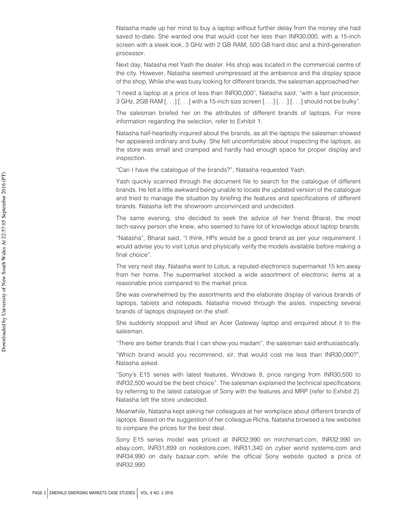Natasha made up her mind to buy a laptop without further delay from the money she had saved to-date. She wanted one that would cost her less than INR30,000, with a 15-inch screen with a sleek look, 3 GHz with 2 GB RAM, 500 GB hard disc and a third-generation processor.

Next day, Natasha met Yash the dealer. His shop was located in the commercial centre of the city. However, Natasha seemed unimpressed at the ambience and the display space of the shop. While she was busy looking for different brands, the salesman approached her.

"I need a laptop at a price of less than INR30,000", Natasha said, "with a fast processor, 3 GHz, 2GB RAM [. . .] [. . .] with a 15-inch size screen [. . .] [. . .] [. . .] should not be bulky".

The salesman briefed her on the attributes of different brands of laptops. For more information regarding the selection, refer to Exhibit 1.

Natasha half-heartedly inquired about the brands, as all the laptops the salesman showed her appeared ordinary and bulky. She felt uncomfortable about inspecting the laptops, as the store was small and cramped and hardly had enough space for proper display and inspection.

"Can I have the catalogue of the brands?", Natasha requested Yash.

Yash quickly scanned through the document file to search for the catalogue of different brands. He felt a little awkward being unable to locate the updated version of the catalogue and tried to manage the situation by briefing the features and specifications of different brands. Natasha left the showroom unconvinced and undecided.

The same evening, she decided to seek the advice of her friend Bharat, the most tech-savvy person she knew, who seemed to have lot of knowledge about laptop brands.

"Natasha", Bharat said, "I think, HPs would be a good brand as per your requirement. I would advise you to visit Lotus and physically verify the models available before making a final choice".

The very next day, Natasha went to Lotus, a reputed electronics supermarket 15 km away from her home. The supermarket stocked a wide assortment of electronic items at a reasonable price compared to the market price.

She was overwhelmed by the assortments and the elaborate display of various brands of laptops, tablets and notepads. Natasha moved through the aisles, inspecting several brands of laptops displayed on the shelf.

She suddenly stopped and lifted an Acer Gateway laptop and enquired about it to the salesman.

"There are better brands that I can show you madam", the salesman said enthusiastically.

"Which brand would you recommend, sir, that would cost me less than INR30,000?", Natasha asked.

"Sony's E15 series with latest features, Windows 8, price ranging from INR30,500 to INR32,500 would be the best choice". The salesman explained the technical specifications by referring to the latest catalogue of Sony with the features and MRP (refer to Exhibit 2). Natasha left the store undecided.

Meanwhile, Natasha kept asking her colleagues at her workplace about different brands of laptops. Based on the suggestion of her colleague Richa, Natasha browsed a few websites to compare the prices for the best deal.

Sony E15 series model was priced at INR32,990 on mirchimart.com, INR32,990 on ebay.com, INR31,899 on nookstore.com, INR31,340 on cyber world systems.com and INR34,990 on daily bazaar.com, while the official Sony website quoted a price of INR32,990.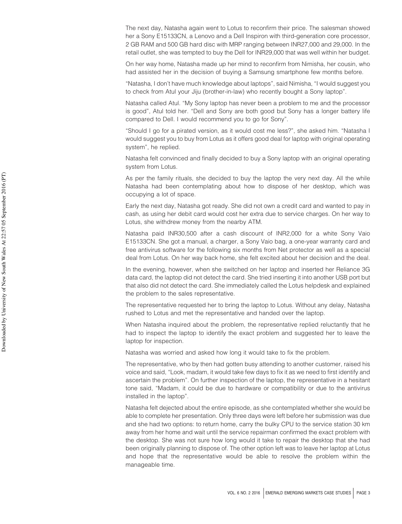The next day, Natasha again went to Lotus to reconfirm their price. The salesman showed her a Sony E15133CN, a Lenovo and a Dell Inspiron with third-generation core processor, 2 GB RAM and 500 GB hard disc with MRP ranging between INR27,000 and 29,000. In the retail outlet, she was tempted to buy the Dell for INR29,000 that was well within her budget.

On her way home, Natasha made up her mind to reconfirm from Nimisha, her cousin, who had assisted her in the decision of buying a Samsung smartphone few months before.

"Natasha, I don't have much knowledge about laptops", said Nimisha, "I would suggest you to check from Atul your Jiju (brother-in-law) who recently bought a Sony laptop".

Natasha called Atul. "My Sony laptop has never been a problem to me and the processor is good", Atul told her. "Dell and Sony are both good but Sony has a longer battery life compared to Dell. I would recommend you to go for Sony".

"Should I go for a pirated version, as it would cost me less?", she asked him. "Natasha I would suggest you to buy from Lotus as it offers good deal for laptop with original operating system", he replied.

Natasha felt convinced and finally decided to buy a Sony laptop with an original operating system from Lotus.

As per the family rituals, she decided to buy the laptop the very next day. All the while Natasha had been contemplating about how to dispose of her desktop, which was occupying a lot of space.

Early the next day, Natasha got ready. She did not own a credit card and wanted to pay in cash, as using her debit card would cost her extra due to service charges. On her way to Lotus, she withdrew money from the nearby ATM.

Natasha paid INR30,500 after a cash discount of INR2,000 for a white Sony Vaio E15133CN. She got a manual, a charger, a Sony Vaio bag, a one-year warranty card and free antivirus software for the following six months from Net protector as well as a special deal from Lotus. On her way back home, she felt excited about her decision and the deal.

In the evening, however, when she switched on her laptop and inserted her Reliance 3G data card, the laptop did not detect the card. She tried inserting it into another USB port but that also did not detect the card. She immediately called the Lotus helpdesk and explained the problem to the sales representative.

The representative requested her to bring the laptop to Lotus. Without any delay, Natasha rushed to Lotus and met the representative and handed over the laptop.

When Natasha inquired about the problem, the representative replied reluctantly that he had to inspect the laptop to identify the exact problem and suggested her to leave the laptop for inspection.

Natasha was worried and asked how long it would take to fix the problem.

The representative, who by then had gotten busy attending to another customer, raised his voice and said, "Look, madam, it would take few days to fix it as we need to first identify and ascertain the problem". On further inspection of the laptop, the representative in a hesitant tone said, "Madam, it could be due to hardware or compatibility or due to the antivirus installed in the laptop".

Natasha felt dejected about the entire episode, as she contemplated whether she would be able to complete her presentation. Only three days were left before her submission was due and she had two options: to return home, carry the bulky CPU to the service station 30 km away from her home and wait until the service repairman confirmed the exact problem with the desktop. She was not sure how long would it take to repair the desktop that she had been originally planning to dispose of. The other option left was to leave her laptop at Lotus and hope that the representative would be able to resolve the problem within the manageable time.